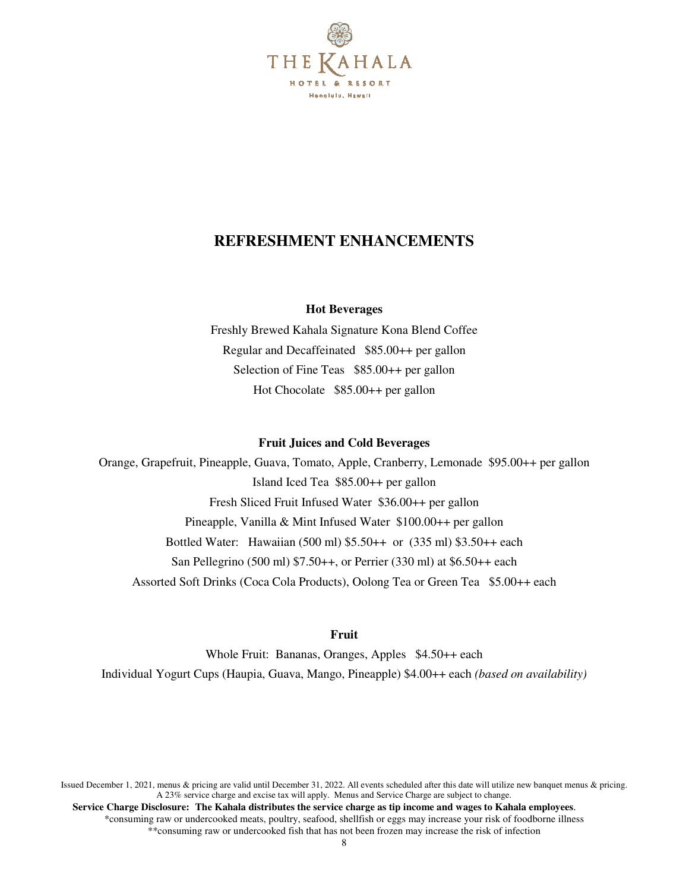

# **REFRESHMENT ENHANCEMENTS**

### **Hot Beverages**

Freshly Brewed Kahala Signature Kona Blend Coffee Regular and Decaffeinated \$85.00++ per gallon Selection of Fine Teas \$85.00++ per gallon Hot Chocolate \$85.00++ per gallon

### **Fruit Juices and Cold Beverages**

Orange, Grapefruit, Pineapple, Guava, Tomato, Apple, Cranberry, Lemonade \$95.00++ per gallon Island Iced Tea \$85.00++ per gallon Fresh Sliced Fruit Infused Water \$36.00++ per gallon Pineapple, Vanilla & Mint Infused Water \$100.00++ per gallon Bottled Water: Hawaiian (500 ml) \$5.50++ or (335 ml) \$3.50++ each San Pellegrino (500 ml) \$7.50++, or Perrier (330 ml) at \$6.50++ each Assorted Soft Drinks (Coca Cola Products), Oolong Tea or Green Tea \$5.00++ each

### **Fruit**

Whole Fruit: Bananas, Oranges, Apples \$4.50++ each Individual Yogurt Cups (Haupia, Guava, Mango, Pineapple) \$4.00++ each *(based on availability)*

Issued December 1, 2021, menus & pricing are valid until December 31, 2022. All events scheduled after this date will utilize new banquet menus & pricing. A 23% service charge and excise tax will apply. Menus and Service Charge are subject to change.  **Service Charge Disclosure: The Kahala distributes the service charge as tip income and wages to Kahala employees**. \*consuming raw or undercooked meats, poultry, seafood, shellfish or eggs may increase your risk of foodborne illness \*\*consuming raw or undercooked fish that has not been frozen may increase the risk of infection